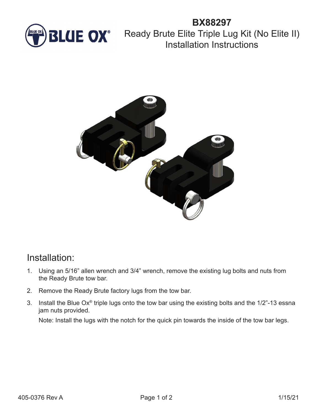

## **BX88297 BLUE OX**<sup>®</sup> Ready Brute Elite Triple Lug Kit (No Elite II) Installation Instructions



## Installation:

- 1. Using an 5/16" allen wrench and 3/4" wrench, remove the existing lug bolts and nuts from the Ready Brute tow bar.
- 2. Remove the Ready Brute factory lugs from the tow bar.
- 3. Install the Blue Ox® triple lugs onto the tow bar using the existing bolts and the 1/2"-13 essna jam nuts provided.

Note: Install the lugs with the notch for the quick pin towards the inside of the tow bar legs.